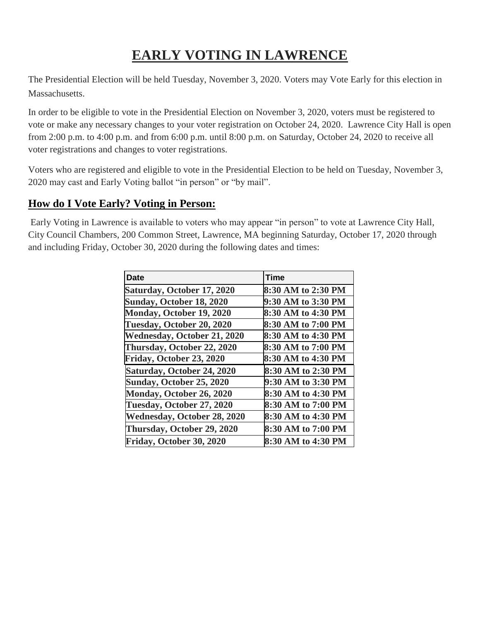## **EARLY VOTING IN LAWRENCE**

The Presidential Election will be held Tuesday, November 3, 2020. Voters may Vote Early for this election in Massachusetts.

In order to be eligible to vote in the Presidential Election on November 3, 2020, voters must be registered to vote or make any necessary changes to your voter registration on October 24, 2020. Lawrence City Hall is open from 2:00 p.m. to 4:00 p.m. and from 6:00 p.m. until 8:00 p.m. on Saturday, October 24, 2020 to receive all voter registrations and changes to voter registrations.

Voters who are registered and eligible to vote in the Presidential Election to be held on Tuesday, November 3, 2020 may cast and Early Voting ballot "in person" or "by mail".

## **How do I Vote Early? Voting in Person:**

Early Voting in Lawrence is available to voters who may appear "in person" to vote at Lawrence City Hall, City Council Chambers, 200 Common Street, Lawrence, MA beginning Saturday, October 17, 2020 through and including Friday, October 30, 2020 during the following dates and times:

| <b>Date</b>                        | <b>Time</b>        |
|------------------------------------|--------------------|
| Saturday, October 17, 2020         | 8:30 AM to 2:30 PM |
| Sunday, October 18, 2020           | 9:30 AM to 3:30 PM |
| Monday, October 19, 2020           | 8:30 AM to 4:30 PM |
| Tuesday, October 20, 2020          | 8:30 AM to 7:00 PM |
| <b>Wednesday, October 21, 2020</b> | 8:30 AM to 4:30 PM |
| Thursday, October 22, 2020         | 8:30 AM to 7:00 PM |
| Friday, October 23, 2020           | 8:30 AM to 4:30 PM |
| Saturday, October 24, 2020         | 8:30 AM to 2:30 PM |
| <b>Sunday, October 25, 2020</b>    | 9:30 AM to 3:30 PM |
| Monday, October 26, 2020           | 8:30 AM to 4:30 PM |
| Tuesday, October 27, 2020          | 8:30 AM to 7:00 PM |
| <b>Wednesday, October 28, 2020</b> | 8:30 AM to 4:30 PM |
| Thursday, October 29, 2020         | 8:30 AM to 7:00 PM |
| Friday, October 30, 2020           | 8:30 AM to 4:30 PM |